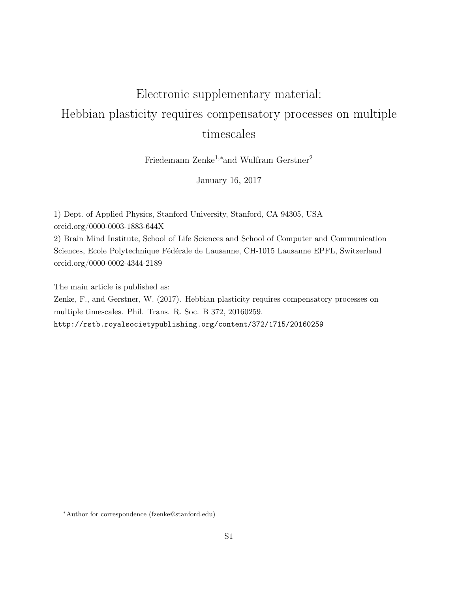## <span id="page-0-0"></span>Electronic supplementary material: Hebbian plasticity requires compensatory processes on multiple timescales

Friedemann Zenke<sup>1</sup>,<sup>∗</sup>and Wulfram Gerstner<sup>2</sup>

January 16, 2017

1) Dept. of Applied Physics, Stanford University, Stanford, CA 94305, USA orcid.org/0000-0003-1883-644X

2) Brain Mind Institute, School of Life Sciences and School of Computer and Communication Sciences, Ecole Polytechnique Fédérale de Lausanne, CH-1015 Lausanne EPFL, Switzerland orcid.org/0000-0002-4344-2189

The main article is published as:

Zenke, F., and Gerstner, W. (2017). Hebbian plasticity requires compensatory processes on multiple timescales. Phil. Trans. R. Soc. B 372, 20160259. <http://rstb.royalsocietypublishing.org/content/372/1715/20160259>

<sup>∗</sup>Author for correspondence (fzenke@stanford.edu)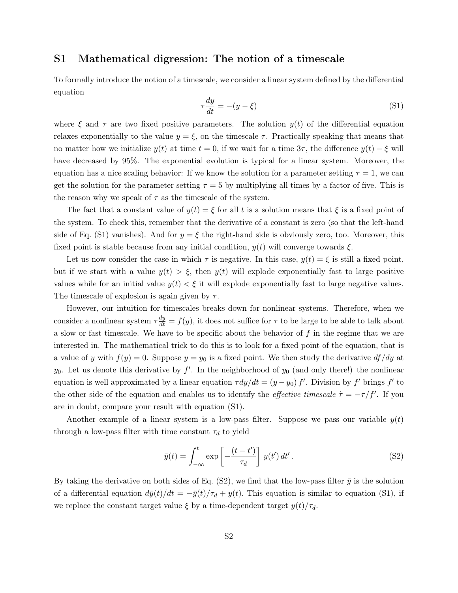## S1 Mathematical digression: The notion of a timescale

<span id="page-1-0"></span>To formally introduce the notion of a timescale, we consider a linear system defined by the differential equation

$$
\tau \frac{dy}{dt} = -(y - \xi) \tag{S1}
$$

where  $\xi$  and  $\tau$  are two fixed positive parameters. The solution  $y(t)$  of the differential equation relaxes exponentially to the value  $y = \xi$ , on the timescale  $\tau$ . Practically speaking that means that no matter how we initialize  $y(t)$  at time  $t = 0$ , if we wait for a time  $3\tau$ , the difference  $y(t) - \xi$  will have decreased by 95%. The exponential evolution is typical for a linear system. Moreover, the equation has a nice scaling behavior: If we know the solution for a parameter setting  $\tau = 1$ , we can get the solution for the parameter setting  $\tau = 5$  by multiplying all times by a factor of five. This is the reason why we speak of  $\tau$  as the timescale of the system.

The fact that a constant value of  $y(t) = \xi$  for all t is a solution means that  $\xi$  is a fixed point of the system. To check this, remember that the derivative of a constant is zero (so that the left-hand side of Eq. [\(S1\)](#page-1-0) vanishes). And for  $y = \xi$  the right-hand side is obviously zero, too. Moreover, this fixed point is stable because from any initial condition,  $y(t)$  will converge towards  $\xi$ .

Let us now consider the case in which  $\tau$  is negative. In this case,  $y(t) = \xi$  is still a fixed point, but if we start with a value  $y(t) > \xi$ , then  $y(t)$  will explode exponentially fast to large positive values while for an initial value  $y(t) < \xi$  it will explode exponentially fast to large negative values. The timescale of explosion is again given by  $\tau$ .

However, our intuition for timescales breaks down for nonlinear systems. Therefore, when we consider a nonlinear system  $\tau \frac{dy}{dt} = f(y)$ , it does not suffice for  $\tau$  to be large to be able to talk about a slow or fast timescale. We have to be specific about the behavior of  $f$  in the regime that we are interested in. The mathematical trick to do this is to look for a fixed point of the equation, that is a value of y with  $f(y) = 0$ . Suppose  $y = y_0$  is a fixed point. We then study the derivative  $df/dy$  at  $y_0$ . Let us denote this derivative by  $f'$ . In the neighborhood of  $y_0$  (and only there!) the nonlinear equation is well approximated by a linear equation  $\tau dy/dt = (y - y_0) f'$ . Division by f' brings f' to the other side of the equation and enables us to identify the *effective timescale*  $\tilde{\tau} = -\tau/f'$ . If you are in doubt, compare your result with equation [\(S1\)](#page-1-0).

Another example of a linear system is a low-pass filter. Suppose we pass our variable  $y(t)$ through a low-pass filter with time constant  $\tau_d$  to yield

<span id="page-1-1"></span>
$$
\bar{y}(t) = \int_{-\infty}^{t} \exp\left[-\frac{(t-t')}{\tau_d}\right] y(t') dt'.
$$
\n(S2)

By taking the derivative on both sides of Eq. [\(S2\)](#page-1-1), we find that the low-pass filter  $\bar{y}$  is the solution of a differential equation  $d\bar{y}(t)/dt = -\bar{y}(t)/\tau_d + y(t)$ . This equation is similar to equation [\(S1\)](#page-1-0), if we replace the constant target value  $\xi$  by a time-dependent target  $y(t)/\tau_d$ .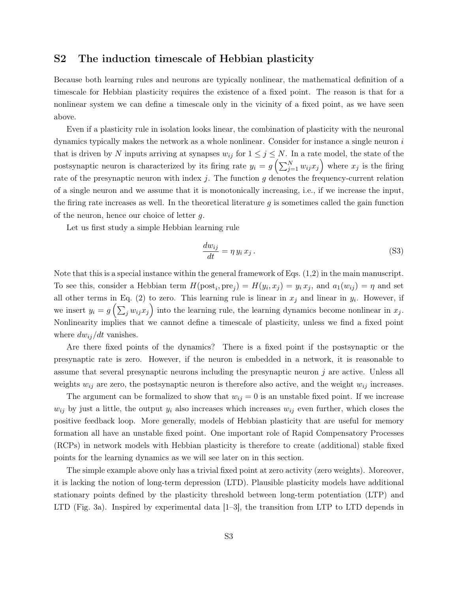## S2 The induction timescale of Hebbian plasticity

Because both learning rules and neurons are typically nonlinear, the mathematical definition of a timescale for Hebbian plasticity requires the existence of a fixed point. The reason is that for a nonlinear system we can define a timescale only in the vicinity of a fixed point, as we have seen above.

Even if a plasticity rule in isolation looks linear, the combination of plasticity with the neuronal dynamics typically makes the network as a whole nonlinear. Consider for instance a single neuron  $i$ that is driven by N inputs arriving at synapses  $w_{ij}$  for  $1 \leq j \leq N$ . In a rate model, the state of the postsynaptic neuron is characterized by its firing rate  $y_i = g\left(\sum_{j=1}^N w_{ij} x_j\right)$  where  $x_j$  is the firing rate of the presynaptic neuron with index  $j$ . The function  $g$  denotes the frequency-current relation of a single neuron and we assume that it is monotonically increasing, i.e., if we increase the input, the firing rate increases as well. In the theoretical literature  $g$  is sometimes called the gain function of the neuron, hence our choice of letter  $q$ .

Let us first study a simple Hebbian learning rule

$$
\frac{dw_{ij}}{dt} = \eta y_i x_j. \tag{S3}
$$

Note that this is a special instance within the general framework of Eqs. [\(1,2\)](#page-0-0) in the main manuscript. To see this, consider a Hebbian term  $H(post_i, pre_j) = H(y_i, x_j) = y_i x_j$ , and  $a_1(w_{ij}) = \eta$  and set all other terms in Eq. [\(2\)](#page-0-0) to zero. This learning rule is linear in  $x_j$  and linear in  $y_i$ . However, if we insert  $y_i = g\left(\sum_j w_{ij} x_j\right)$  into the learning rule, the learning dynamics become nonlinear in  $x_j$ . Nonlinearity implies that we cannot define a timescale of plasticity, unless we find a fixed point where  $dw_{ij}/dt$  vanishes.

Are there fixed points of the dynamics? There is a fixed point if the postsynaptic or the presynaptic rate is zero. However, if the neuron is embedded in a network, it is reasonable to assume that several presynaptic neurons including the presynaptic neuron j are active. Unless all weights  $w_{ij}$  are zero, the postsynaptic neuron is therefore also active, and the weight  $w_{ij}$  increases.

The argument can be formalized to show that  $w_{ij} = 0$  is an unstable fixed point. If we increase  $w_{ij}$  by just a little, the output  $y_i$  also increases which increases  $w_{ij}$  even further, which closes the positive feedback loop. More generally, models of Hebbian plasticity that are useful for memory formation all have an unstable fixed point. One important role of [Rapid Compensatory Processes](#page-0-0) [\(RCPs\)](#page-0-0) in network models with Hebbian plasticity is therefore to create (additional) stable fixed points for the learning dynamics as we will see later on in this section.

The simple example above only has a trivial fixed point at zero activity (zero weights). Moreover, it is lacking the notion of [long-term depression \(LTD\).](#page-0-0) Plausible plasticity models have additional stationary points defined by the plasticity threshold between [long-term potentiation \(LTP\)](#page-0-0) and [LTD](#page-0-0) (Fig. [3a](#page-0-0)). Inspired by experimental data  $[1-3]$  $[1-3]$ , the transition from [LTP](#page-0-0) to [LTD](#page-0-0) depends in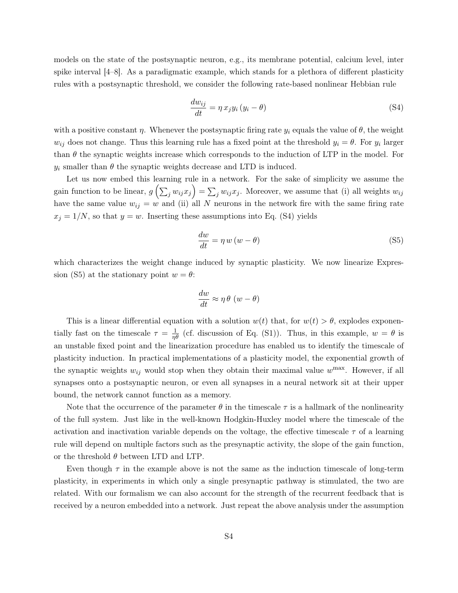models on the state of the postsynaptic neuron, e.g., its membrane potential, calcium level, inter spike interval [\[4–](#page-4-2)[8\]](#page-5-0). As a paradigmatic example, which stands for a plethora of different plasticity rules with a postsynaptic threshold, we consider the following rate-based nonlinear Hebbian rule

<span id="page-3-0"></span>
$$
\frac{dw_{ij}}{dt} = \eta x_j y_i (y_i - \theta) \tag{S4}
$$

with a positive constant  $\eta$ . Whenever the postsynaptic firing rate  $y_i$  equals the value of  $\theta$ , the weight  $w_{ij}$  does not change. Thus this learning rule has a fixed point at the threshold  $y_i = \theta$ . For  $y_i$  larger than  $\theta$  the synaptic weights increase which corresponds to the induction of [LTP](#page-0-0) in the model. For  $y_i$  smaller than  $\theta$  the synaptic weights decrease and [LTD](#page-0-0) is induced.

Let us now embed this learning rule in a network. For the sake of simplicity we assume the gain function to be linear,  $g\left(\sum_j w_{ij} x_j\right) = \sum_j w_{ij} x_j$ . Moreover, we assume that (i) all weights  $w_{ij}$ have the same value  $w_{ij} = w$  and (ii) all N neurons in the network fire with the same firing rate  $x_j = 1/N$ , so that  $y = w$ . Inserting these assumptions into Eq. [\(S4\)](#page-3-0) yields

<span id="page-3-1"></span>
$$
\frac{dw}{dt} = \eta w (w - \theta) \tag{S5}
$$

which characterizes the weight change induced by synaptic plasticity. We now linearize Expres-sion [\(S5\)](#page-3-1) at the stationary point  $w = \theta$ :

$$
\frac{dw}{dt} \approx \eta \theta \, (w - \theta)
$$

This is a linear differential equation with a solution  $w(t)$  that, for  $w(t) > \theta$ , explodes exponentially fast on the timescale  $\tau = \frac{1}{\eta \theta}$  (cf. discussion of Eq. [\(S1\)](#page-1-0)). Thus, in this example,  $w = \theta$  is an unstable fixed point and the linearization procedure has enabled us to identify the timescale of plasticity induction. In practical implementations of a plasticity model, the exponential growth of the synaptic weights  $w_{ij}$  would stop when they obtain their maximal value  $w^{\text{max}}$ . However, if all synapses onto a postsynaptic neuron, or even all synapses in a neural network sit at their upper bound, the network cannot function as a memory.

Note that the occurrence of the parameter  $\theta$  in the timescale  $\tau$  is a hallmark of the nonlinearity of the full system. Just like in the well-known Hodgkin-Huxley model where the timescale of the activation and inactivation variable depends on the voltage, the effective timescale  $\tau$  of a learning rule will depend on multiple factors such as the presynaptic activity, the slope of the gain function, or the threshold  $\theta$  between [LTD](#page-0-0) and [LTP.](#page-0-0)

Even though  $\tau$  in the example above is not the same as the induction timescale of long-term plasticity, in experiments in which only a single presynaptic pathway is stimulated, the two are related. With our formalism we can also account for the strength of the recurrent feedback that is received by a neuron embedded into a network. Just repeat the above analysis under the assumption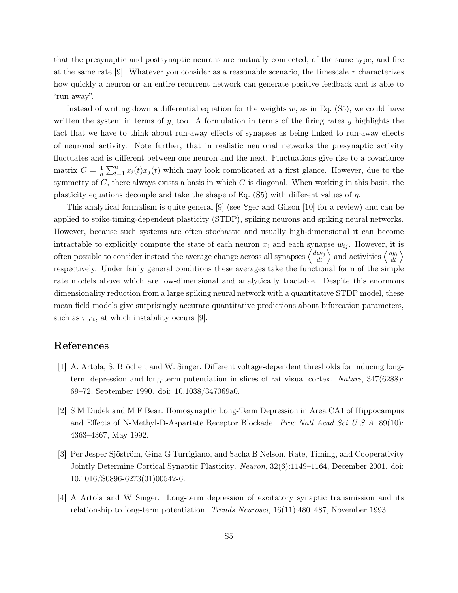that the presynaptic and postsynaptic neurons are mutually connected, of the same type, and fire at the same rate [\[9\]](#page-5-1). Whatever you consider as a reasonable scenario, the timescale  $\tau$  characterizes how quickly a neuron or an entire recurrent network can generate positive feedback and is able to "run away".

Instead of writing down a differential equation for the weights  $w$ , as in Eq. [\(S5\)](#page-3-1), we could have written the system in terms of  $y$ , too. A formulation in terms of the firing rates  $y$  highlights the fact that we have to think about run-away effects of synapses as being linked to run-away effects of neuronal activity. Note further, that in realistic neuronal networks the presynaptic activity fluctuates and is different between one neuron and the next. Fluctuations give rise to a covariance matrix  $C = \frac{1}{n}$  $\frac{1}{n}\sum_{t=1}^{n}x_i(t)x_j(t)$  which may look complicated at a first glance. However, due to the symmetry of  $C$ , there always exists a basis in which  $C$  is diagonal. When working in this basis, the plasticity equations decouple and take the shape of Eq.  $(S5)$  with different values of  $\eta$ .

This analytical formalism is quite general [\[9\]](#page-5-1) (see Yger and Gilson [\[10\]](#page-5-2) for a review) and can be applied to [spike-timing-dependent plasticity \(STDP\),](#page-0-0) spiking neurons and spiking neural networks. However, because such systems are often stochastic and usually high-dimensional it can become intractable to explicitly compute the state of each neuron  $x_i$  and each synapse  $w_{ij}$ . However, it is often possible to consider instead the average change across all synapses  $\left\langle \frac{dw_{ij}}{dt} \right\rangle$  and activities  $\left\langle \frac{dy_i}{dt} \right\rangle$ respectively. Under fairly general conditions these averages take the functional form of the simple rate models above which are low-dimensional and analytically tractable. Despite this enormous dimensionality reduction from a large spiking neural network with a quantitative [STDP](#page-0-0) model, these mean field models give surprisingly accurate quantitative predictions about bifurcation parameters, such as  $\tau_{\rm crit}$ , at which instability occurs [\[9\]](#page-5-1).

## References

- <span id="page-4-0"></span>[1] A. Artola, S. Bröcher, and W. Singer. Different voltage-dependent thresholds for inducing longterm depression and long-term potentiation in slices of rat visual cortex. Nature, 347(6288): 69–72, September 1990. doi: 10.1038/347069a0.
- [2] S M Dudek and M F Bear. Homosynaptic Long-Term Depression in Area CA1 of Hippocampus and Effects of N-Methyl-D-Aspartate Receptor Blockade. Proc Natl Acad Sci U S A, 89(10): 4363–4367, May 1992.
- <span id="page-4-1"></span>[3] Per Jesper Sjöström, Gina G Turrigiano, and Sacha B Nelson. Rate, Timing, and Cooperativity Jointly Determine Cortical Synaptic Plasticity. Neuron, 32(6):1149–1164, December 2001. doi: 10.1016/S0896-6273(01)00542-6.
- <span id="page-4-2"></span>[4] A Artola and W Singer. Long-term depression of excitatory synaptic transmission and its relationship to long-term potentiation. Trends Neurosci, 16(11):480-487, November 1993.